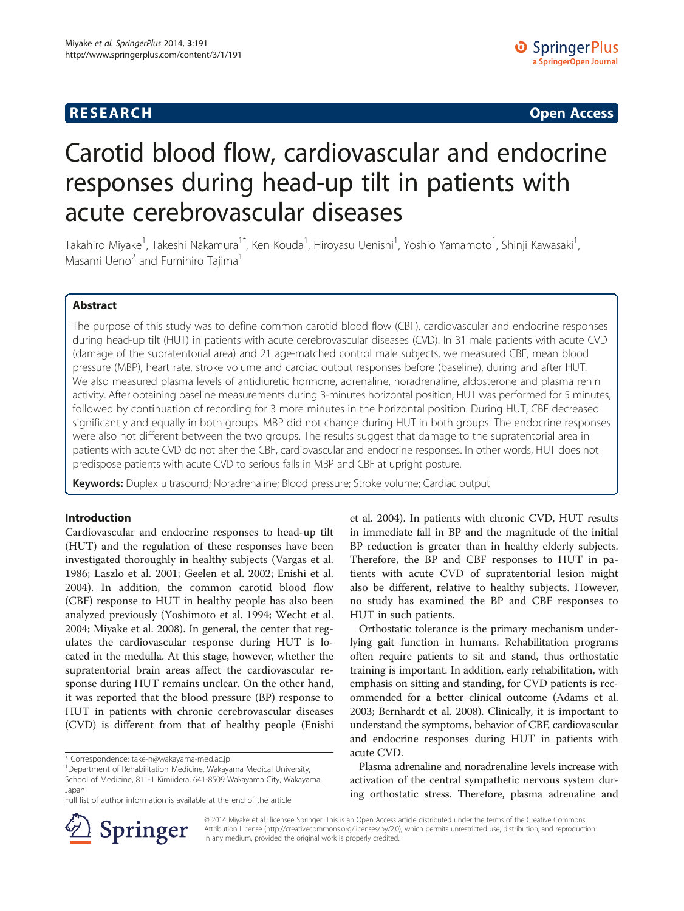## **RESEARCH CHINESE ARCH CHINESE ARCH CHINESE ARCH <b>CHINESE ARCH**

# Carotid blood flow, cardiovascular and endocrine responses during head-up tilt in patients with acute cerebrovascular diseases

Takahiro Miyake<sup>1</sup>, Takeshi Nakamura<sup>1\*</sup>, Ken Kouda<sup>1</sup>, Hiroyasu Uenishi<sup>1</sup>, Yoshio Yamamoto<sup>1</sup>, Shinji Kawasaki<sup>1</sup> , Masami Ueno<sup>2</sup> and Fumihiro Tajima<sup>1</sup>

## Abstract

The purpose of this study was to define common carotid blood flow (CBF), cardiovascular and endocrine responses during head-up tilt (HUT) in patients with acute cerebrovascular diseases (CVD). In 31 male patients with acute CVD (damage of the supratentorial area) and 21 age-matched control male subjects, we measured CBF, mean blood pressure (MBP), heart rate, stroke volume and cardiac output responses before (baseline), during and after HUT. We also measured plasma levels of antidiuretic hormone, adrenaline, noradrenaline, aldosterone and plasma renin activity. After obtaining baseline measurements during 3-minutes horizontal position, HUT was performed for 5 minutes, followed by continuation of recording for 3 more minutes in the horizontal position. During HUT, CBF decreased significantly and equally in both groups. MBP did not change during HUT in both groups. The endocrine responses were also not different between the two groups. The results suggest that damage to the supratentorial area in patients with acute CVD do not alter the CBF, cardiovascular and endocrine responses. In other words, HUT does not predispose patients with acute CVD to serious falls in MBP and CBF at upright posture.

Keywords: Duplex ultrasound; Noradrenaline; Blood pressure; Stroke volume; Cardiac output

## Introduction

Cardiovascular and endocrine responses to head-up tilt (HUT) and the regulation of these responses have been investigated thoroughly in healthy subjects (Vargas et al. [1986](#page-7-0); Laszlo et al. [2001;](#page-7-0) Geelen et al. [2002;](#page-7-0) Enishi et al. [2004](#page-7-0)). In addition, the common carotid blood flow (CBF) response to HUT in healthy people has also been analyzed previously (Yoshimoto et al. [1994](#page-7-0); Wecht et al. [2004](#page-7-0); Miyake et al. [2008](#page-7-0)). In general, the center that regulates the cardiovascular response during HUT is located in the medulla. At this stage, however, whether the supratentorial brain areas affect the cardiovascular response during HUT remains unclear. On the other hand, it was reported that the blood pressure (BP) response to HUT in patients with chronic cerebrovascular diseases (CVD) is different from that of healthy people (Enishi

et al. [2004](#page-7-0)). In patients with chronic CVD, HUT results in immediate fall in BP and the magnitude of the initial BP reduction is greater than in healthy elderly subjects. Therefore, the BP and CBF responses to HUT in patients with acute CVD of supratentorial lesion might also be different, relative to healthy subjects. However, no study has examined the BP and CBF responses to HUT in such patients.

Orthostatic tolerance is the primary mechanism underlying gait function in humans. Rehabilitation programs often require patients to sit and stand, thus orthostatic training is important. In addition, early rehabilitation, with emphasis on sitting and standing, for CVD patients is recommended for a better clinical outcome (Adams et al. [2003](#page-7-0); Bernhardt et al. [2008](#page-7-0)). Clinically, it is important to understand the symptoms, behavior of CBF, cardiovascular and endocrine responses during HUT in patients with acute CVD.

Plasma adrenaline and noradrenaline levels increase with activation of the central sympathetic nervous system during orthostatic stress. Therefore, plasma adrenaline and



© 2014 Miyake et al.; licensee Springer. This is an Open Access article distributed under the terms of the Creative Commons Attribution License [\(http://creativecommons.org/licenses/by/2.0\)](http://creativecommons.org/licenses/by/2.0), which permits unrestricted use, distribution, and reproduction in any medium, provided the original work is properly credited.

<sup>\*</sup> Correspondence: [take-n@wakayama-med.ac.jp](mailto:take-n@wakayama-med.ac.jp) <sup>1</sup>

Department of Rehabilitation Medicine, Wakayama Medical University, School of Medicine, 811-1 Kimiidera, 641-8509 Wakayama City, Wakayama, Japan

Full list of author information is available at the end of the article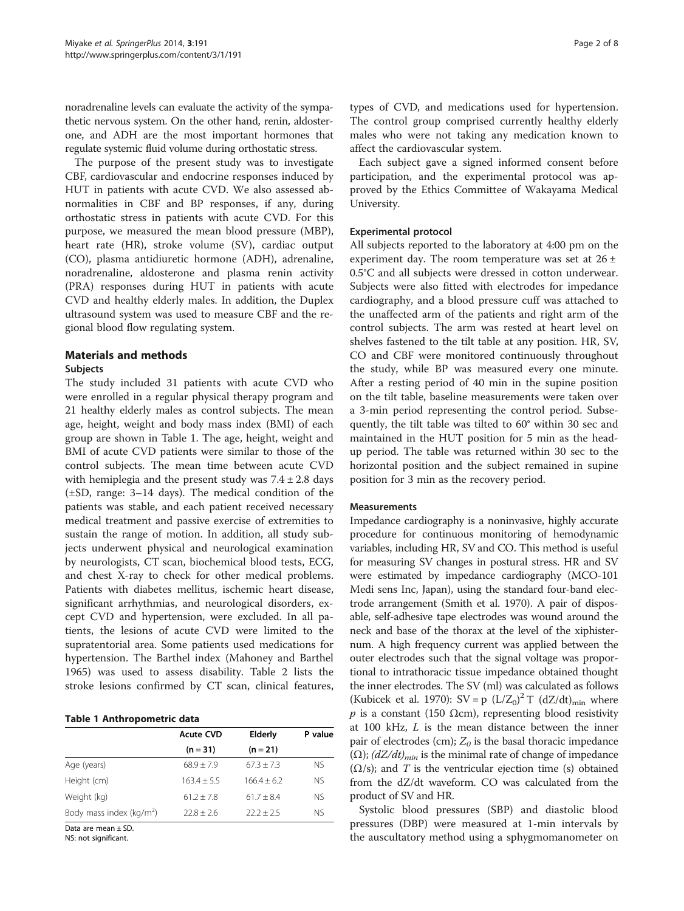noradrenaline levels can evaluate the activity of the sympathetic nervous system. On the other hand, renin, aldosterone, and ADH are the most important hormones that regulate systemic fluid volume during orthostatic stress.

The purpose of the present study was to investigate CBF, cardiovascular and endocrine responses induced by HUT in patients with acute CVD. We also assessed abnormalities in CBF and BP responses, if any, during orthostatic stress in patients with acute CVD. For this purpose, we measured the mean blood pressure (MBP), heart rate (HR), stroke volume (SV), cardiac output (CO), plasma antidiuretic hormone (ADH), adrenaline, noradrenaline, aldosterone and plasma renin activity (PRA) responses during HUT in patients with acute CVD and healthy elderly males. In addition, the Duplex ultrasound system was used to measure CBF and the regional blood flow regulating system.

## Materials and methods

#### Subjects

The study included 31 patients with acute CVD who were enrolled in a regular physical therapy program and 21 healthy elderly males as control subjects. The mean age, height, weight and body mass index (BMI) of each group are shown in Table 1. The age, height, weight and BMI of acute CVD patients were similar to those of the control subjects. The mean time between acute CVD with hemiplegia and the present study was  $7.4 \pm 2.8$  days (±SD, range: 3–14 days). The medical condition of the patients was stable, and each patient received necessary medical treatment and passive exercise of extremities to sustain the range of motion. In addition, all study subjects underwent physical and neurological examination by neurologists, CT scan, biochemical blood tests, ECG, and chest X-ray to check for other medical problems. Patients with diabetes mellitus, ischemic heart disease, significant arrhythmias, and neurological disorders, except CVD and hypertension, were excluded. In all patients, the lesions of acute CVD were limited to the supratentorial area. Some patients used medications for hypertension. The Barthel index (Mahoney and Barthel [1965](#page-7-0)) was used to assess disability. Table [2](#page-2-0) lists the stroke lesions confirmed by CT scan, clinical features,

#### Table 1 Anthropometric data

|                             | <b>Acute CVD</b> | Elderly      | P value |  |
|-----------------------------|------------------|--------------|---------|--|
|                             | $(n = 31)$       | $(n = 21)$   |         |  |
| Age (years)                 | $68.9 + 7.9$     | $67.3 + 7.3$ | NS.     |  |
| Height (cm)                 | $163.4 + 5.5$    | $1664 + 62$  | NS.     |  |
| Weight (kg)                 | $61.2 + 7.8$     | $61.7 + 8.4$ | NS.     |  |
| Body mass index ( $kg/m2$ ) | $72.8 + 2.6$     | $22.2 + 2.5$ | NS.     |  |

Data are mean ± SD.

NS: not significant.

types of CVD, and medications used for hypertension. The control group comprised currently healthy elderly males who were not taking any medication known to affect the cardiovascular system.

Each subject gave a signed informed consent before participation, and the experimental protocol was approved by the Ethics Committee of Wakayama Medical University.

#### Experimental protocol

All subjects reported to the laboratory at 4:00 pm on the experiment day. The room temperature was set at  $26 \pm$ 0.5°C and all subjects were dressed in cotton underwear. Subjects were also fitted with electrodes for impedance cardiography, and a blood pressure cuff was attached to the unaffected arm of the patients and right arm of the control subjects. The arm was rested at heart level on shelves fastened to the tilt table at any position. HR, SV, CO and CBF were monitored continuously throughout the study, while BP was measured every one minute. After a resting period of 40 min in the supine position on the tilt table, baseline measurements were taken over a 3-min period representing the control period. Subsequently, the tilt table was tilted to 60° within 30 sec and maintained in the HUT position for 5 min as the headup period. The table was returned within 30 sec to the horizontal position and the subject remained in supine position for 3 min as the recovery period.

#### **Measurements**

Impedance cardiography is a noninvasive, highly accurate procedure for continuous monitoring of hemodynamic variables, including HR, SV and CO. This method is useful for measuring SV changes in postural stress. HR and SV were estimated by impedance cardiography (MCO-101 Medi sens Inc, Japan), using the standard four-band electrode arrangement (Smith et al. [1970\)](#page-7-0). A pair of disposable, self-adhesive tape electrodes was wound around the neck and base of the thorax at the level of the xiphisternum. A high frequency current was applied between the outer electrodes such that the signal voltage was proportional to intrathoracic tissue impedance obtained thought the inner electrodes. The SV (ml) was calculated as follows (Kubicek et al. [1970\)](#page-7-0):  $SV = p (L/Z_0)^2 T (dZ/dt)_{min}$  where  $p$  is a constant (150 Ωcm), representing blood resistivity at 100 kHz, L is the mean distance between the inner pair of electrodes (cm);  $Z_0$  is the basal thoracic impedance ( $\Omega$ ); ( $dZ/dt$ )<sub>min</sub> is the minimal rate of change of impedance  $(\Omega/s)$ ; and T is the ventricular ejection time (s) obtained from the dZ/dt waveform. CO was calculated from the product of SV and HR.

Systolic blood pressures (SBP) and diastolic blood pressures (DBP) were measured at 1-min intervals by the auscultatory method using a sphygmomanometer on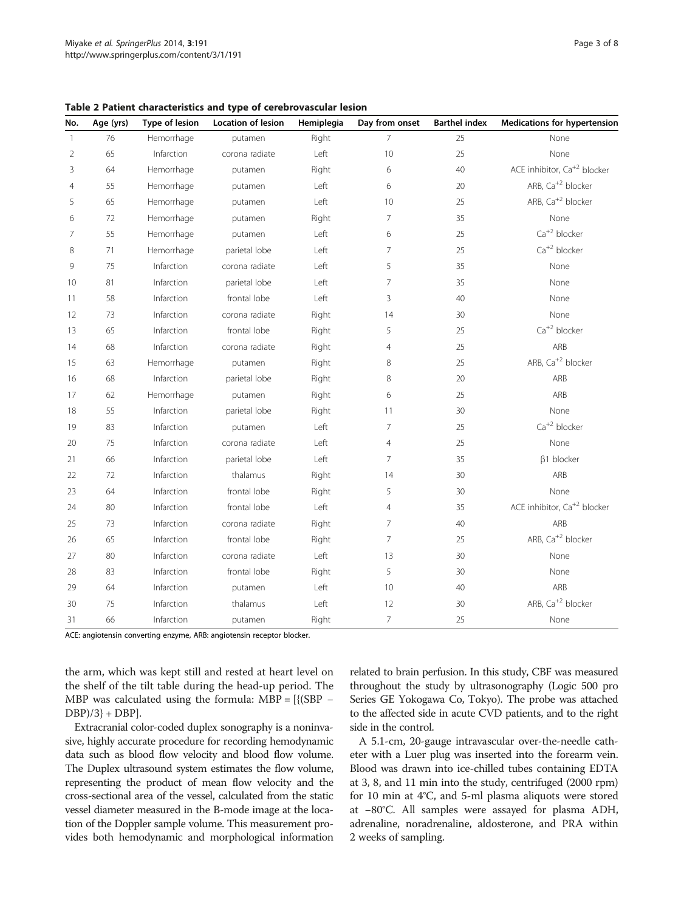| No.            | Age (yrs) | Type of lesion | Location of lesion | Hemiplegia | Day from onset | <b>Barthel index</b> | <b>Medications for hypertension</b>     |
|----------------|-----------|----------------|--------------------|------------|----------------|----------------------|-----------------------------------------|
| $\mathbf{1}$   | 76        | Hemorrhage     | putamen            | Right      | $\overline{7}$ | 25                   | None                                    |
| $\overline{2}$ | 65        | Infarction     | corona radiate     | Left       | 10             | 25                   | None                                    |
| 3              | 64        | Hemorrhage     | putamen            | Right      | 6              | 40                   | ACE inhibitor, Ca <sup>+2</sup> blocker |
| $\overline{4}$ | 55        | Hemorrhage     | putamen            | Left       | 6              | 20                   | ARB, Ca <sup>+2</sup> blocker           |
| 5              | 65        | Hemorrhage     | putamen            | Left       | 10             | 25                   | ARB, Ca <sup>+2</sup> blocker           |
| 6              | 72        | Hemorrhage     | putamen            | Right      | $\overline{7}$ | 35                   | None                                    |
| $\overline{7}$ | 55        | Hemorrhage     | putamen            | Left       | 6              | 25                   | $Ca^{+2}$ blocker                       |
| 8              | 71        | Hemorrhage     | parietal lobe      | Left       | $\overline{7}$ | 25                   | $Ca^{+2}$ blocker                       |
| 9              | 75        | Infarction     | corona radiate     | Left       | 5              | 35                   | None                                    |
| 10             | 81        | Infarction     | parietal lobe      | Left       | 7              | 35                   | None                                    |
| 11             | 58        | Infarction     | frontal lobe       | Left       | 3              | 40                   | None                                    |
| 12             | 73        | Infarction     | corona radiate     | Right      | 14             | 30                   | None                                    |
| 13             | 65        | Infarction     | frontal lobe       | Right      | 5              | 25                   | $Ca^{+2}$ blocker                       |
| 14             | 68        | Infarction     | corona radiate     | Right      | $\overline{4}$ | 25                   | ARB                                     |
| 15             | 63        | Hemorrhage     | putamen            | Right      | 8              | 25                   | ARB, Ca <sup>+2</sup> blocker           |
| 16             | 68        | Infarction     | parietal lobe      | Right      | 8              | 20                   | ARB                                     |
| 17             | 62        | Hemorrhage     | putamen            | Right      | 6              | 25                   | ARB                                     |
| 18             | 55        | Infarction     | parietal lobe      | Right      | 11             | 30                   | None                                    |
| 19             | 83        | Infarction     | putamen            | Left       | 7              | 25                   | $Ca^{+2}$ blocker                       |
| 20             | 75        | Infarction     | corona radiate     | Left       | $\overline{4}$ | 25                   | None                                    |
| 21             | 66        | Infarction     | parietal lobe      | Left       | $\overline{7}$ | 35                   | $\beta$ 1 blocker                       |
| 22             | 72        | Infarction     | thalamus           | Right      | 14             | $30\,$               | ARB                                     |
| 23             | 64        | Infarction     | frontal lobe       | Right      | 5              | 30                   | None                                    |
| 24             | 80        | Infarction     | frontal lobe       | Left       | 4              | 35                   | ACE inhibitor, Ca <sup>+2</sup> blocker |
| 25             | 73        | Infarction     | corona radiate     | Right      | $\overline{7}$ | 40                   | ARB                                     |
| 26             | 65        | Infarction     | frontal lobe       | Right      | $\overline{7}$ | 25                   | ARB, Ca <sup>+2</sup> blocker           |
| 27             | 80        | Infarction     | corona radiate     | Left       | 13             | 30                   | None                                    |
| 28             | 83        | Infarction     | frontal lobe       | Right      | 5              | 30                   | None                                    |
| 29             | 64        | Infarction     | putamen            | Left       | 10             | 40                   | ARB                                     |
| 30             | 75        | Infarction     | thalamus           | Left       | 12             | 30                   | ARB, Ca <sup>+2</sup> blocker           |
| 31             | 66        | Infarction     | putamen            | Right      | $\overline{7}$ | 25                   | None                                    |

<span id="page-2-0"></span>Table 2 Patient characteristics and type of cerebrovascular lesion

ACE: angiotensin converting enzyme, ARB: angiotensin receptor blocker.

the arm, which was kept still and rested at heart level on the shelf of the tilt table during the head-up period. The MBP was calculated using the formula: MBP =  $[{SBP -}$  $DBP)/3$  +  $DBP$ ].

Extracranial color-coded duplex sonography is a noninvasive, highly accurate procedure for recording hemodynamic data such as blood flow velocity and blood flow volume. The Duplex ultrasound system estimates the flow volume, representing the product of mean flow velocity and the cross-sectional area of the vessel, calculated from the static vessel diameter measured in the B-mode image at the location of the Doppler sample volume. This measurement provides both hemodynamic and morphological information

related to brain perfusion. In this study, CBF was measured throughout the study by ultrasonography (Logic 500 pro Series GE Yokogawa Co, Tokyo). The probe was attached to the affected side in acute CVD patients, and to the right side in the control.

A 5.1-cm, 20-gauge intravascular over-the-needle catheter with a Luer plug was inserted into the forearm vein. Blood was drawn into ice-chilled tubes containing EDTA at 3, 8, and 11 min into the study, centrifuged (2000 rpm) for 10 min at 4°C, and 5-ml plasma aliquots were stored at −80°C. All samples were assayed for plasma ADH, adrenaline, noradrenaline, aldosterone, and PRA within 2 weeks of sampling.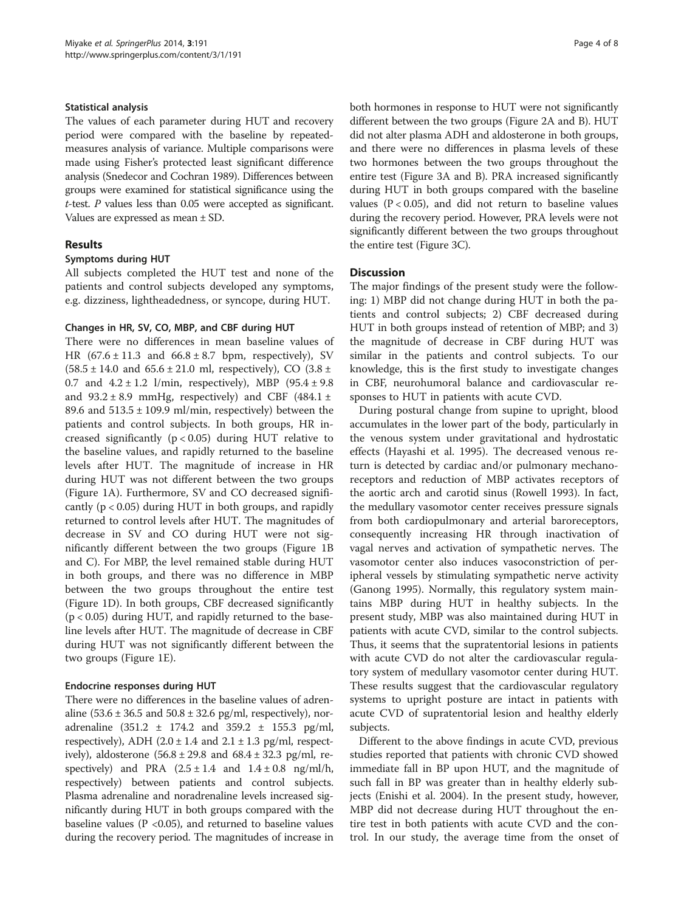#### Statistical analysis

The values of each parameter during HUT and recovery period were compared with the baseline by repeatedmeasures analysis of variance. Multiple comparisons were made using Fisher's protected least significant difference analysis (Snedecor and Cochran [1989\)](#page-7-0). Differences between groups were examined for statistical significance using the t-test. P values less than 0.05 were accepted as significant. Values are expressed as mean ± SD.

## Results

## Symptoms during HUT

All subjects completed the HUT test and none of the patients and control subjects developed any symptoms, e.g. dizziness, lightheadedness, or syncope, during HUT.

## Changes in HR, SV, CO, MBP, and CBF during HUT

There were no differences in mean baseline values of HR  $(67.6 \pm 11.3 \text{ and } 66.8 \pm 8.7 \text{ bpm, respectively})$ , SV  $(58.5 \pm 14.0 \text{ and } 65.6 \pm 21.0 \text{ ml}, \text{respectively}), \text{CO } (3.8 \pm 14.0 \text{ ml})$ 0.7 and  $4.2 \pm 1.2$  l/min, respectively), MBP  $(95.4 \pm 9.8)$ and  $93.2 \pm 8.9$  mmHg, respectively) and CBF (484.1  $\pm$ 89.6 and  $513.5 \pm 109.9$  ml/min, respectively) between the patients and control subjects. In both groups, HR increased significantly (p < 0.05) during HUT relative to the baseline values, and rapidly returned to the baseline levels after HUT. The magnitude of increase in HR during HUT was not different between the two groups (Figure [1](#page-4-0)A). Furthermore, SV and CO decreased significantly ( $p < 0.05$ ) during HUT in both groups, and rapidly returned to control levels after HUT. The magnitudes of decrease in SV and CO during HUT were not significantly different between the two groups (Figure [1B](#page-4-0) and C). For MBP, the level remained stable during HUT in both groups, and there was no difference in MBP between the two groups throughout the entire test (Figure [1D](#page-4-0)). In both groups, CBF decreased significantly (p < 0.05) during HUT, and rapidly returned to the baseline levels after HUT. The magnitude of decrease in CBF during HUT was not significantly different between the two groups (Figure [1](#page-4-0)E).

## Endocrine responses during HUT

There were no differences in the baseline values of adrenaline  $(53.6 \pm 36.5 \text{ and } 50.8 \pm 32.6 \text{ pg/ml}, \text{ respectively})$ , noradrenaline  $(351.2 \pm 174.2 \text{ and } 359.2 \pm 155.3 \text{ pg/ml}$ , respectively), ADH (2.0  $\pm$  1.4 and 2.1  $\pm$  1.3 pg/ml, respectively), aldosterone  $(56.8 \pm 29.8 \text{ and } 68.4 \pm 32.3 \text{ pg/ml}, \text{re-}$ spectively) and PRA  $(2.5 \pm 1.4 \text{ and } 1.4 \pm 0.8 \text{ ng/ml/h},$ respectively) between patients and control subjects. Plasma adrenaline and noradrenaline levels increased significantly during HUT in both groups compared with the baseline values ( $P < 0.05$ ), and returned to baseline values during the recovery period. The magnitudes of increase in both hormones in response to HUT were not significantly different between the two groups (Figure [2](#page-5-0)A and B). HUT did not alter plasma ADH and aldosterone in both groups, and there were no differences in plasma levels of these two hormones between the two groups throughout the entire test (Figure [3](#page-6-0)A and B). PRA increased significantly during HUT in both groups compared with the baseline values ( $P < 0.05$ ), and did not return to baseline values during the recovery period. However, PRA levels were not significantly different between the two groups throughout the entire test (Figure [3](#page-6-0)C).

## **Discussion**

The major findings of the present study were the following: 1) MBP did not change during HUT in both the patients and control subjects; 2) CBF decreased during HUT in both groups instead of retention of MBP; and 3) the magnitude of decrease in CBF during HUT was similar in the patients and control subjects. To our knowledge, this is the first study to investigate changes in CBF, neurohumoral balance and cardiovascular responses to HUT in patients with acute CVD.

During postural change from supine to upright, blood accumulates in the lower part of the body, particularly in the venous system under gravitational and hydrostatic effects (Hayashi et al. [1995\)](#page-7-0). The decreased venous return is detected by cardiac and/or pulmonary mechanoreceptors and reduction of MBP activates receptors of the aortic arch and carotid sinus (Rowell [1993\)](#page-7-0). In fact, the medullary vasomotor center receives pressure signals from both cardiopulmonary and arterial baroreceptors, consequently increasing HR through inactivation of vagal nerves and activation of sympathetic nerves. The vasomotor center also induces vasoconstriction of peripheral vessels by stimulating sympathetic nerve activity (Ganong [1995\)](#page-7-0). Normally, this regulatory system maintains MBP during HUT in healthy subjects. In the present study, MBP was also maintained during HUT in patients with acute CVD, similar to the control subjects. Thus, it seems that the supratentorial lesions in patients with acute CVD do not alter the cardiovascular regulatory system of medullary vasomotor center during HUT. These results suggest that the cardiovascular regulatory systems to upright posture are intact in patients with acute CVD of supratentorial lesion and healthy elderly subjects.

Different to the above findings in acute CVD, previous studies reported that patients with chronic CVD showed immediate fall in BP upon HUT, and the magnitude of such fall in BP was greater than in healthy elderly subjects (Enishi et al. [2004\)](#page-7-0). In the present study, however, MBP did not decrease during HUT throughout the entire test in both patients with acute CVD and the control. In our study, the average time from the onset of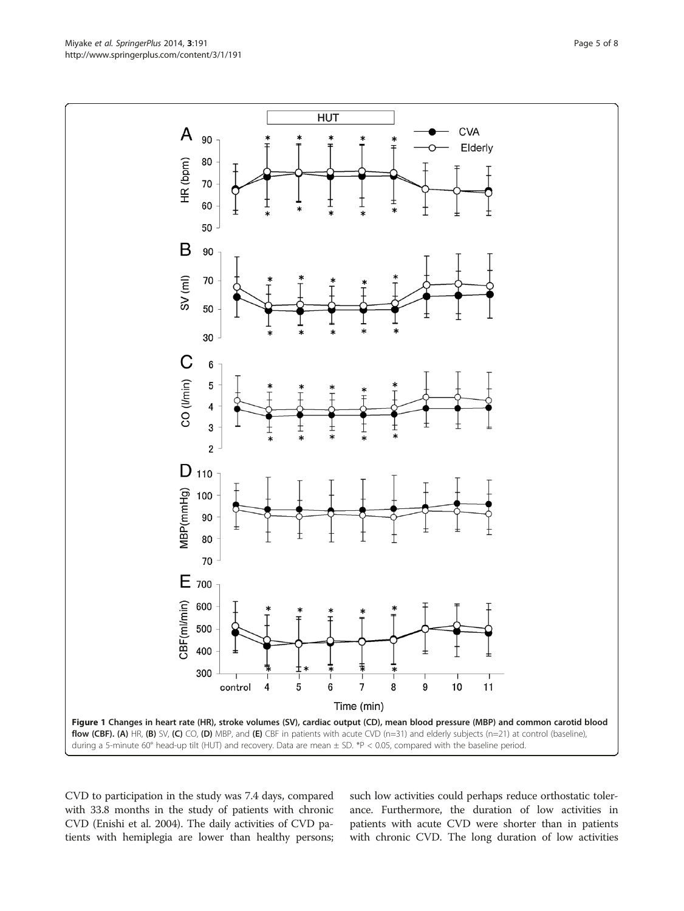CVD to participation in the study was 7.4 days, compared with 33.8 months in the study of patients with chronic CVD (Enishi et al. [2004](#page-7-0)). The daily activities of CVD patients with hemiplegia are lower than healthy persons;

such low activities could perhaps reduce orthostatic tolerance. Furthermore, the duration of low activities in patients with acute CVD were shorter than in patients with chronic CVD. The long duration of low activities

<span id="page-4-0"></span>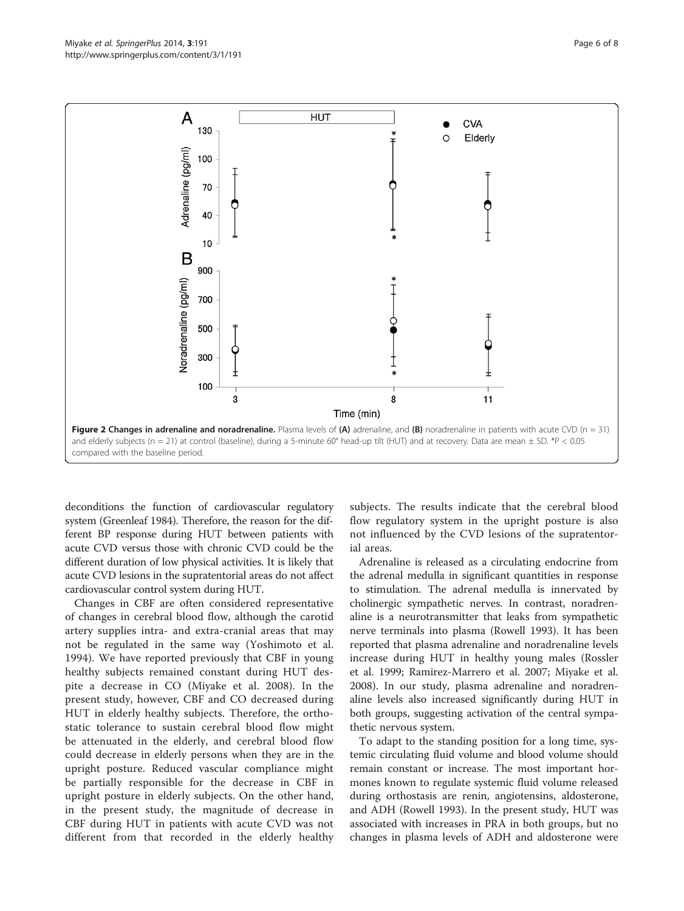<span id="page-5-0"></span>

deconditions the function of cardiovascular regulatory system (Greenleaf [1984](#page-7-0)). Therefore, the reason for the different BP response during HUT between patients with acute CVD versus those with chronic CVD could be the different duration of low physical activities. It is likely that acute CVD lesions in the supratentorial areas do not affect cardiovascular control system during HUT.

Changes in CBF are often considered representative of changes in cerebral blood flow, although the carotid artery supplies intra- and extra-cranial areas that may not be regulated in the same way (Yoshimoto et al. [1994\)](#page-7-0). We have reported previously that CBF in young healthy subjects remained constant during HUT despite a decrease in CO (Miyake et al. [2008\)](#page-7-0). In the present study, however, CBF and CO decreased during HUT in elderly healthy subjects. Therefore, the orthostatic tolerance to sustain cerebral blood flow might be attenuated in the elderly, and cerebral blood flow could decrease in elderly persons when they are in the upright posture. Reduced vascular compliance might be partially responsible for the decrease in CBF in upright posture in elderly subjects. On the other hand, in the present study, the magnitude of decrease in CBF during HUT in patients with acute CVD was not different from that recorded in the elderly healthy

subjects. The results indicate that the cerebral blood flow regulatory system in the upright posture is also not influenced by the CVD lesions of the supratentorial areas.

Adrenaline is released as a circulating endocrine from the adrenal medulla in significant quantities in response to stimulation. The adrenal medulla is innervated by cholinergic sympathetic nerves. In contrast, noradrenaline is a neurotransmitter that leaks from sympathetic nerve terminals into plasma (Rowell [1993](#page-7-0)). It has been reported that plasma adrenaline and noradrenaline levels increase during HUT in healthy young males (Rossler et al. [1999;](#page-7-0) Ramirez-Marrero et al. [2007;](#page-7-0) Miyake et al. [2008](#page-7-0)). In our study, plasma adrenaline and noradrenaline levels also increased significantly during HUT in both groups, suggesting activation of the central sympathetic nervous system.

To adapt to the standing position for a long time, systemic circulating fluid volume and blood volume should remain constant or increase. The most important hormones known to regulate systemic fluid volume released during orthostasis are renin, angiotensins, aldosterone, and ADH (Rowell [1993](#page-7-0)). In the present study, HUT was associated with increases in PRA in both groups, but no changes in plasma levels of ADH and aldosterone were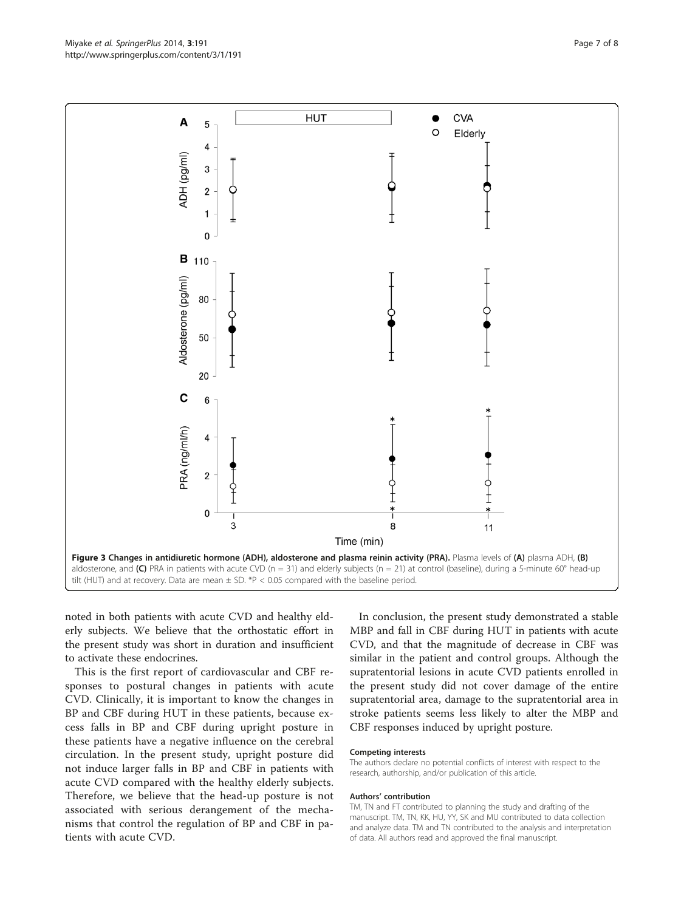noted in both patients with acute CVD and healthy elderly subjects. We believe that the orthostatic effort in the present study was short in duration and insufficient to activate these endocrines.

This is the first report of cardiovascular and CBF responses to postural changes in patients with acute CVD. Clinically, it is important to know the changes in BP and CBF during HUT in these patients, because excess falls in BP and CBF during upright posture in these patients have a negative influence on the cerebral circulation. In the present study, upright posture did not induce larger falls in BP and CBF in patients with acute CVD compared with the healthy elderly subjects. Therefore, we believe that the head-up posture is not associated with serious derangement of the mechanisms that control the regulation of BP and CBF in patients with acute CVD.

In conclusion, the present study demonstrated a stable MBP and fall in CBF during HUT in patients with acute CVD, and that the magnitude of decrease in CBF was similar in the patient and control groups. Although the supratentorial lesions in acute CVD patients enrolled in the present study did not cover damage of the entire supratentorial area, damage to the supratentorial area in stroke patients seems less likely to alter the MBP and CBF responses induced by upright posture.

#### Competing interests

The authors declare no potential conflicts of interest with respect to the research, authorship, and/or publication of this article.

#### Authors' contribution

TM, TN and FT contributed to planning the study and drafting of the manuscript. TM, TN, KK, HU, YY, SK and MU contributed to data collection and analyze data. TM and TN contributed to the analysis and interpretation of data. All authors read and approved the final manuscript.

<span id="page-6-0"></span>